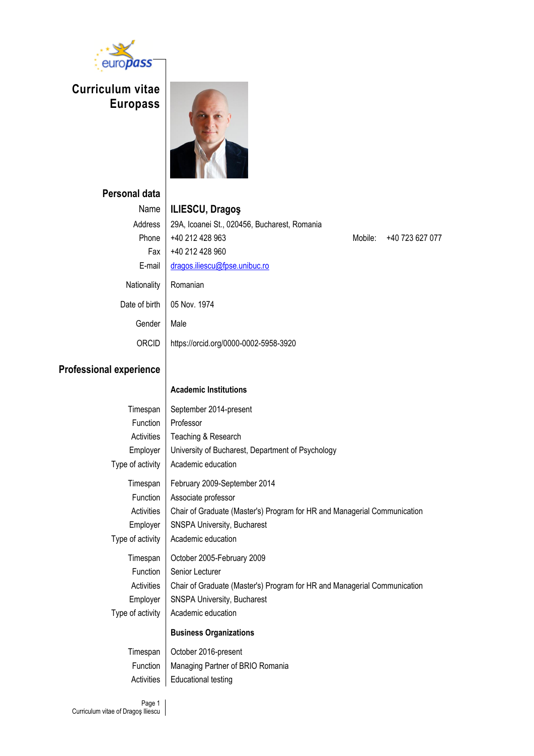

# **Curriculum vitae Europass**



## **Personal**

| sonal data    |                                              |
|---------------|----------------------------------------------|
| Name          | <b>ILIESCU, Dragos</b>                       |
| Address       | 29A, Icoanei St., 020456, Bucharest, Romania |
| Phone         | +40 212 428 963                              |
| Fax           | +40 212 428 960                              |
| E-mail        | dragos.iliescu@fpse.unibuc.ro                |
| Nationality   | Romanian                                     |
| Date of birth | 05 Nov. 1974                                 |
| Gender        | Male                                         |
| ORCID         | https://orcid.org/0000-0002-5958-3920        |

Mobile: +40 723 627 077

### **Professional experience**

#### **Academic Institutions**

| Timespan         | September 2014-present                                                   |
|------------------|--------------------------------------------------------------------------|
| <b>Function</b>  | Professor                                                                |
| Activities       | Teaching & Research                                                      |
| Employer         | University of Bucharest, Department of Psychology                        |
| Type of activity | Academic education                                                       |
| Timespan         | February 2009-September 2014                                             |
| <b>Function</b>  | Associate professor                                                      |
| Activities       | Chair of Graduate (Master's) Program for HR and Managerial Communication |
| Employer         | <b>SNSPA University, Bucharest</b>                                       |
| Type of activity | Academic education                                                       |
| Timespan         | October 2005-February 2009                                               |
| Function         | Senior Lecturer                                                          |
| Activities       | Chair of Graduate (Master's) Program for HR and Managerial Communication |
| Employer         | <b>SNSPA University, Bucharest</b>                                       |
| Type of activity | Academic education                                                       |
|                  | <b>Business Organizations</b>                                            |
| Timespan         | October 2016-present                                                     |
| Function         | Managing Partner of BRIO Romania                                         |

Activities | Educational testing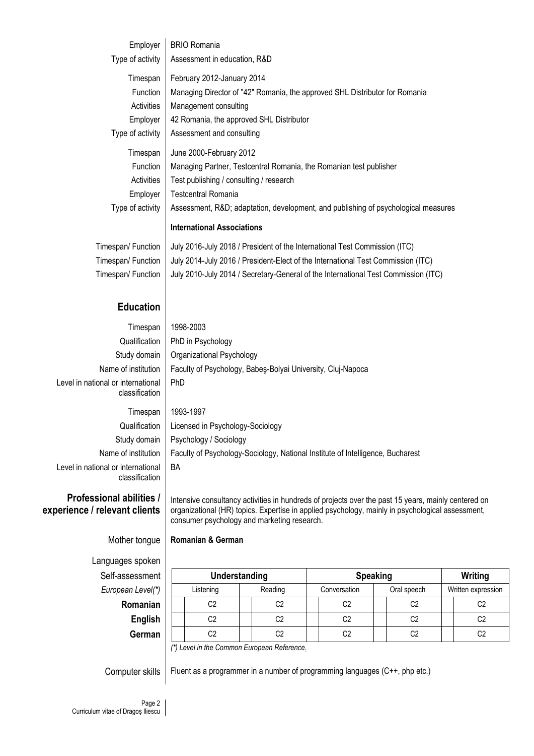| Employer           | <b>BRIO Romania</b>                                                                |
|--------------------|------------------------------------------------------------------------------------|
| Type of activity   | Assessment in education, R&D                                                       |
| Timespan           | February 2012-January 2014                                                         |
| Function           | Managing Director of "42" Romania, the approved SHL Distributor for Romania        |
| Activities         | Management consulting                                                              |
| Employer           | 42 Romania, the approved SHL Distributor                                           |
| Type of activity   | Assessment and consulting                                                          |
| Timespan           | June 2000-February 2012                                                            |
| Function           | Managing Partner, Testcentral Romania, the Romanian test publisher                 |
| Activities         | Test publishing / consulting / research                                            |
| Employer           | <b>Testcentral Romania</b>                                                         |
| Type of activity   | Assessment, R&D adaptation, development, and publishing of psychological measures  |
|                    | <b>International Associations</b>                                                  |
| Timespan/ Function | July 2016-July 2018 / President of the International Test Commission (ITC)         |
| Timespan/ Function | July 2014-July 2016 / President-Elect of the International Test Commission (ITC)   |
| Timespan/ Function | July 2010-July 2014 / Secretary-General of the International Test Commission (ITC) |
|                    |                                                                                    |

### **Education**

| Timespan                                             | 1998-2003                                                                      |
|------------------------------------------------------|--------------------------------------------------------------------------------|
| Qualification                                        | PhD in Psychology                                                              |
| Study domain                                         | Organizational Psychology                                                      |
| Name of institution                                  | Faculty of Psychology, Babes-Bolyai University, Cluj-Napoca                    |
| Level in national or international<br>classification | <b>PhD</b>                                                                     |
| Timespan                                             | 1993-1997                                                                      |
| Qualification                                        | Licensed in Psychology-Sociology                                               |
| Study domain                                         | Psychology / Sociology                                                         |
| Name of institution                                  | Faculty of Psychology-Sociology, National Institute of Intelligence, Bucharest |
| Level in national or international<br>classification | BA                                                                             |

### **Professional abilities / experience / relevant clients**

Intensive consultancy activities in hundreds of projects over the past 15 years, mainly centered on organizational (HR) topics. Expertise in applied psychology, mainly in psychological assessment, consumer psychology and marketing research.

## Mother tongue **Romanian & German**

Languages spoken  $Self-assessme$ **European Level** 

| ssessment      | Understanding |  |                                                                 | <b>Speaking</b> |  |             |                    | Writing        |  |
|----------------|---------------|--|-----------------------------------------------------------------|-----------------|--|-------------|--------------------|----------------|--|
| ean Level(*)   | Listening     |  | Reading                                                         | Conversation    |  | Oral speech | Written expression |                |  |
| Romanian       | C2            |  | C2                                                              | C2              |  | C2          |                    | C2             |  |
| <b>English</b> | C2            |  | C2                                                              | C <sub>2</sub>  |  | C2          |                    | C <sub>2</sub> |  |
| German         | C2            |  | C2                                                              | C2              |  | C2          |                    | C2             |  |
|                |               |  | $\mathcal{L}$ I could be the Organization France can Defense on |                 |  |             |                    |                |  |

*(\*) Level in the Common European Referenc[e.](http://europass.cedefop.europa.eu/LanguageSelfAssessmentGrid/ro)*

Computer skills  $\vert$  Fluent as a programmer in a number of programming languages (C++, php etc.)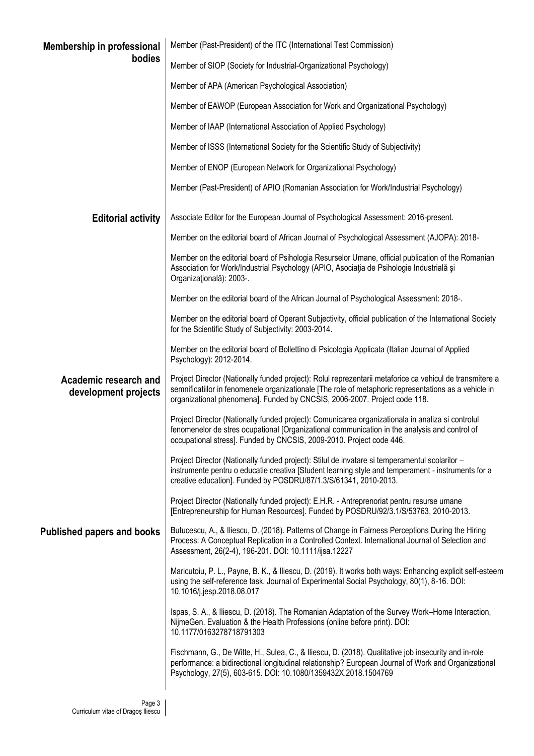| <b>Membership in professional</b>             | Member (Past-President) of the ITC (International Test Commission)                                                                                                                                                                                                                             |  |  |  |  |  |
|-----------------------------------------------|------------------------------------------------------------------------------------------------------------------------------------------------------------------------------------------------------------------------------------------------------------------------------------------------|--|--|--|--|--|
| bodies                                        | Member of SIOP (Society for Industrial-Organizational Psychology)                                                                                                                                                                                                                              |  |  |  |  |  |
|                                               | Member of APA (American Psychological Association)                                                                                                                                                                                                                                             |  |  |  |  |  |
|                                               | Member of EAWOP (European Association for Work and Organizational Psychology)                                                                                                                                                                                                                  |  |  |  |  |  |
|                                               | Member of IAAP (International Association of Applied Psychology)                                                                                                                                                                                                                               |  |  |  |  |  |
|                                               | Member of ISSS (International Society for the Scientific Study of Subjectivity)                                                                                                                                                                                                                |  |  |  |  |  |
|                                               | Member of ENOP (European Network for Organizational Psychology)                                                                                                                                                                                                                                |  |  |  |  |  |
|                                               | Member (Past-President) of APIO (Romanian Association for Work/Industrial Psychology)                                                                                                                                                                                                          |  |  |  |  |  |
| <b>Editorial activity</b>                     | Associate Editor for the European Journal of Psychological Assessment: 2016-present.                                                                                                                                                                                                           |  |  |  |  |  |
|                                               | Member on the editorial board of African Journal of Psychological Assessment (AJOPA): 2018-                                                                                                                                                                                                    |  |  |  |  |  |
|                                               | Member on the editorial board of Psihologia Resurselor Umane, official publication of the Romanian<br>Association for Work/Industrial Psychology (APIO, Asociația de Psihologie Industrială și<br>Organizațională): 2003-.                                                                     |  |  |  |  |  |
|                                               | Member on the editorial board of the African Journal of Psychological Assessment: 2018-.                                                                                                                                                                                                       |  |  |  |  |  |
|                                               | Member on the editorial board of Operant Subjectivity, official publication of the International Society<br>for the Scientific Study of Subjectivity: 2003-2014.                                                                                                                               |  |  |  |  |  |
|                                               | Member on the editorial board of Bollettino di Psicologia Applicata (Italian Journal of Applied<br>Psychology): 2012-2014.                                                                                                                                                                     |  |  |  |  |  |
| Academic research and<br>development projects | Project Director (Nationally funded project): Rolul reprezentarii metaforice ca vehicul de transmitere a<br>semnificatiilor in fenomenele organizationale [The role of metaphoric representations as a vehicle in<br>organizational phenomena]. Funded by CNCSIS, 2006-2007. Project code 118. |  |  |  |  |  |
|                                               | Project Director (Nationally funded project): Comunicarea organizationala in analiza si controlul<br>fenomenelor de stres ocupational [Organizational communication in the analysis and control of<br>occupational stress]. Funded by CNCSIS, 2009-2010. Project code 446.                     |  |  |  |  |  |
|                                               | Project Director (Nationally funded project): Stilul de invatare si temperamentul scolarilor -<br>instrumente pentru o educatie creativa [Student learning style and temperament - instruments for a<br>creative education]. Funded by POSDRU/87/1.3/S/61341, 2010-2013.                       |  |  |  |  |  |
|                                               | Project Director (Nationally funded project): E.H.R. - Antreprenoriat pentru resurse umane<br>[Entrepreneurship for Human Resources]. Funded by POSDRU/92/3.1/S/53763, 2010-2013.                                                                                                              |  |  |  |  |  |
| <b>Published papers and books</b>             | Butucescu, A., & Iliescu, D. (2018). Patterns of Change in Fairness Perceptions During the Hiring<br>Process: A Conceptual Replication in a Controlled Context. International Journal of Selection and<br>Assessment, 26(2-4), 196-201. DOI: 10.1111/ijsa.12227                                |  |  |  |  |  |
|                                               | Maricutoiu, P. L., Payne, B. K., & Iliescu, D. (2019). It works both ways: Enhancing explicit self-esteem<br>using the self-reference task. Journal of Experimental Social Psychology, 80(1), 8-16. DOI:<br>10.1016/j.jesp.2018.08.017                                                         |  |  |  |  |  |
|                                               | Ispas, S. A., & Iliescu, D. (2018). The Romanian Adaptation of the Survey Work-Home Interaction,<br>NijmeGen. Evaluation & the Health Professions (online before print). DOI:<br>10.1177/0163278718791303                                                                                      |  |  |  |  |  |
|                                               | Fischmann, G., De Witte, H., Sulea, C., & Iliescu, D. (2018). Qualitative job insecurity and in-role<br>performance: a bidirectional longitudinal relationship? European Journal of Work and Organizational<br>Psychology, 27(5), 603-615. DOI: 10.1080/1359432X.2018.1504769                  |  |  |  |  |  |
|                                               |                                                                                                                                                                                                                                                                                                |  |  |  |  |  |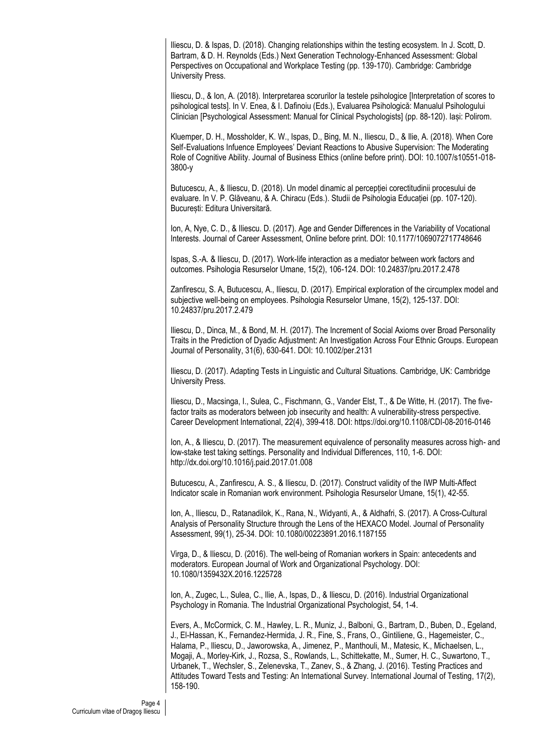Iliescu, D. & Ispas, D. (2018). Changing relationships within the testing ecosystem. In J. Scott, D. Bartram, & D. H. Reynolds (Eds.) Next Generation Technology-Enhanced Assessment: Global Perspectives on Occupational and Workplace Testing (pp. 139-170). Cambridge: Cambridge University Press.

Iliescu, D., & Ion, A. (2018). Interpretarea scorurilor la testele psihologice [Interpretation of scores to psihological tests]. In V. Enea, & I. Dafinoiu (Eds.), Evaluarea Psihologică: Manualul Psihologului Clinician [Psychological Assessment: Manual for Clinical Psychologists] (pp. 88-120). Iași: Polirom.

Kluemper, D. H., Mossholder, K. W., Ispas, D., Bing, M. N., Iliescu, D., & Ilie, A. (2018). When Core Self-Evaluations Infuence Employees' Deviant Reactions to Abusive Supervision: The Moderating Role of Cognitive Ability. Journal of Business Ethics (online before print). DOI: 10.1007/s10551-018- 3800-y

Butucescu, A., & Iliescu, D. (2018). Un model dinamic al percepției corectitudinii procesului de evaluare. In V. P. Glăveanu, & A. Chiracu (Eds.). Studii de Psihologia Educației (pp. 107-120). București: Editura Universitară.

Ion, A, Nye, C. D., & Iliescu. D. (2017). Age and Gender Differences in the Variability of Vocational Interests. Journal of Career Assessment, Online before print. DOI: 10.1177/1069072717748646

Ispas, S.-A. & Iliescu, D. (2017). Work-life interaction as a mediator between work factors and outcomes. Psihologia Resurselor Umane, 15(2), 106-124. DOI: 10.24837/pru.2017.2.478

Zanfirescu, S. A, Butucescu, A., Iliescu, D. (2017). Empirical exploration of the circumplex model and subjective well-being on employees. Psihologia Resurselor Umane, 15(2), 125-137. DOI: 10.24837/pru.2017.2.479

Iliescu, D., Dinca, M., & Bond, M. H. (2017). The Increment of Social Axioms over Broad Personality Traits in the Prediction of Dyadic Adjustment: An Investigation Across Four Ethnic Groups. European Journal of Personality, 31(6), 630-641. DOI: 10.1002/per.2131

Iliescu, D. (2017). Adapting Tests in Linguistic and Cultural Situations. Cambridge, UK: Cambridge University Press.

Iliescu, D., Macsinga, I., Sulea, C., Fischmann, G., Vander Elst, T., & De Witte, H. (2017). The fivefactor traits as moderators between job insecurity and health: A vulnerability-stress perspective. Career Development International, 22(4), 399-418. DOI: https://doi.org/10.1108/CDI-08-2016-0146

Ion, A., & Iliescu, D. (2017). The measurement equivalence of personality measures across high- and low-stake test taking settings. Personality and Individual Differences, 110, 1-6. DOI: http://dx.doi.org/10.1016/j.paid.2017.01.008

Butucescu, A., Zanfirescu, A. S., & Iliescu, D. (2017). Construct validity of the IWP Multi-Affect Indicator scale in Romanian work environment. Psihologia Resurselor Umane, 15(1), 42-55.

Ion, A., Iliescu, D., Ratanadilok, K., Rana, N., Widyanti, A., & Aldhafri, S. (2017). A Cross-Cultural Analysis of Personality Structure through the Lens of the HEXACO Model. Journal of Personality Assessment, 99(1), 25-34. DOI: 10.1080/00223891.2016.1187155

Virga, D., & Iliescu, D. (2016). The well-being of Romanian workers in Spain: antecedents and moderators. European Journal of Work and Organizational Psychology. DOI: 10.1080/1359432X.2016.1225728

Ion, A., Zugec, L., Sulea, C., Ilie, A., Ispas, D., & Iliescu, D. (2016). Industrial Organizational Psychology in Romania. The Industrial Organizational Psychologist, 54, 1-4.

Evers, A., McCormick, C. M., Hawley, L. R., Muniz, J., Balboni, G., Bartram, D., Buben, D., Egeland, J., El-Hassan, K., Fernandez-Hermida, J. R., Fine, S., Frans, O., Gintiliene, G., Hagemeister, C., Halama, P., Iliescu, D., Jaworowska, A., Jimenez, P., Manthouli, M., Matesic, K., Michaelsen, L., Mogaji, A., Morley-Kirk, J., Rozsa, S., Rowlands, L., Schittekatte, M., Sumer, H. C., Suwartono, T., Urbanek, T., Wechsler, S., Zelenevska, T., Zanev, S., & Zhang, J. (2016). Testing Practices and Attitudes Toward Tests and Testing: An International Survey. International Journal of Testing, 17(2), 158-190.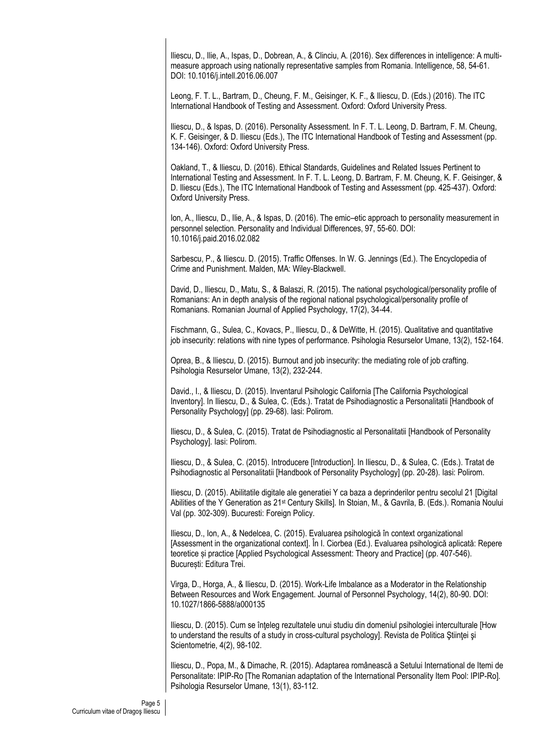Iliescu, D., Ilie, A., Ispas, D., Dobrean, A., & Clinciu, A. (2016). Sex differences in intelligence: A multimeasure approach using nationally representative samples from Romania. Intelligence, 58, 54-61. DOI: 10.1016/j.intell.2016.06.007

Leong, F. T. L., Bartram, D., Cheung, F. M., Geisinger, K. F., & Iliescu, D. (Eds.) (2016). The ITC International Handbook of Testing and Assessment. Oxford: Oxford University Press.

Iliescu, D., & Ispas, D. (2016). Personality Assessment. In F. T. L. Leong, D. Bartram, F. M. Cheung, K. F. Geisinger, & D. Iliescu (Eds.), The ITC International Handbook of Testing and Assessment (pp. 134-146). Oxford: Oxford University Press.

Oakland, T., & Iliescu, D. (2016). Ethical Standards, Guidelines and Related Issues Pertinent to International Testing and Assessment. In F. T. L. Leong, D. Bartram, F. M. Cheung, K. F. Geisinger, & D. Iliescu (Eds.), The ITC International Handbook of Testing and Assessment (pp. 425-437). Oxford: Oxford University Press.

Ion, A., Iliescu, D., Ilie, A., & Ispas, D. (2016). The emic–etic approach to personality measurement in personnel selection. Personality and Individual Differences, 97, 55-60. DOI: 10.1016/j.paid.2016.02.082

Sarbescu, P., & Iliescu. D. (2015). Traffic Offenses. In W. G. Jennings (Ed.). The Encyclopedia of Crime and Punishment. Malden, MA: Wiley-Blackwell.

David, D., Iliescu, D., Matu, S., & Balaszi, R. (2015). The national psychological/personality profile of Romanians: An in depth analysis of the regional national psychological/personality profile of Romanians. Romanian Journal of Applied Psychology, 17(2), 34-44.

Fischmann, G., Sulea, C., Kovacs, P., Iliescu, D., & DeWitte, H. (2015). Qualitative and quantitative job insecurity: relations with nine types of performance. Psihologia Resurselor Umane, 13(2), 152-164.

Oprea, B., & Iliescu, D. (2015). Burnout and job insecurity: the mediating role of job crafting. Psihologia Resurselor Umane, 13(2), 232-244.

David., I., & Iliescu, D. (2015). Inventarul Psihologic California [The California Psychological Inventory]. In Iliescu, D., & Sulea, C. (Eds.). Tratat de Psihodiagnostic a Personalitatii [Handbook of Personality Psychology] (pp. 29-68). Iasi: Polirom.

Iliescu, D., & Sulea, C. (2015). Tratat de Psihodiagnostic al Personalitatii [Handbook of Personality Psychology]. Iasi: Polirom.

Iliescu, D., & Sulea, C. (2015). Introducere [Introduction]. In Iliescu, D., & Sulea, C. (Eds.). Tratat de Psihodiagnostic al Personalitatii [Handbook of Personality Psychology] (pp. 20-28). Iasi: Polirom.

Iliescu, D. (2015). Abilitatile digitale ale generatiei Y ca baza a deprinderilor pentru secolul 21 [Digital Abilities of the Y Generation as 21st Century Skills]. In Stoian, M., & Gavrila, B. (Eds.). Romania Noului Val (pp. 302-309). Bucuresti: Foreign Policy.

Iliescu, D., Ion, A., & Nedelcea, C. (2015). Evaluarea psihologică în context organizational [Assessment in the organizational context]. În I. Ciorbea (Ed.). Evaluarea psihologică aplicată: Repere teoretice și practice [Applied Psychological Assessment: Theory and Practice] (pp. 407-546). București: Editura Trei.

Virga, D., Horga, A., & Iliescu, D. (2015). Work-Life Imbalance as a Moderator in the Relationship Between Resources and Work Engagement. Journal of Personnel Psychology, 14(2), 80-90. DOI: 10.1027/1866-5888/a000135

Iliescu, D. (2015). Cum se înteleg rezultatele unui studiu din domeniul psihologiei interculturale [How to understand the results of a study in cross-cultural psychology]. Revista de Politica Ştiinței și Scientometrie, 4(2), 98-102.

Iliescu, D., Popa, M., & Dimache, R. (2015). Adaptarea românească a Setului International de Itemi de Personalitate: IPIP-Ro [The Romanian adaptation of the International Personality Item Pool: IPIP-Ro]. Psihologia Resurselor Umane, 13(1), 83-112.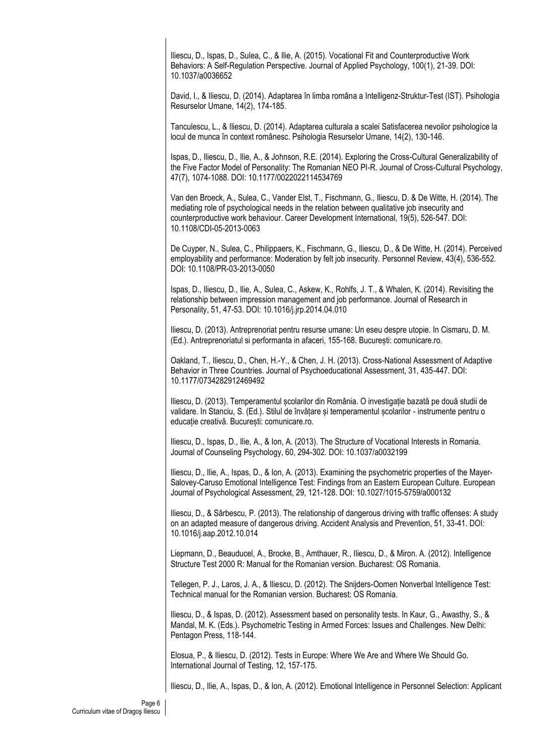Iliescu, D., Ispas, D., Sulea, C., & Ilie, A. (2015). Vocational Fit and Counterproductive Work Behaviors: A Self-Regulation Perspective. Journal of Applied Psychology, 100(1), 21-39. DOI: 10.1037/a0036652

David, I., & Iliescu, D. (2014). Adaptarea în limba româna a Intelligenz-Struktur-Test (IST). Psihologia Resurselor Umane, 14(2), 174-185.

Tanculescu, L., & Iliescu, D. (2014). Adaptarea culturala a scalei Satisfacerea nevoilor psihologice la locul de munca în context românesc. Psihologia Resurselor Umane, 14(2), 130-146.

Ispas, D., Iliescu, D., Ilie, A., & Johnson, R.E. (2014). Exploring the Cross-Cultural Generalizability of the Five Factor Model of Personality: The Romanian NEO PI-R. Journal of Cross-Cultural Psychology, 47(7), 1074-1088. DOI: 10.1177/0022022114534769

Van den Broeck, A., Sulea, C., Vander Elst, T., Fischmann, G., Iliescu, D. & De Witte, H. (2014). The mediating role of psychological needs in the relation between qualitative job insecurity and counterproductive work behaviour. Career Development International, 19(5), 526-547. DOI: 10.1108/CDI-05-2013-0063

De Cuyper, N., Sulea, C., Philippaers, K., Fischmann, G., Iliescu, D., & De Witte, H. (2014). Perceived employability and performance: Moderation by felt job insecurity. Personnel Review, 43(4), 536-552. DOI: 10.1108/PR-03-2013-0050

Ispas, D., Iliescu, D., Ilie, A., Sulea, C., Askew, K., Rohlfs, J. T., & Whalen, K. (2014). Revisiting the relationship between impression management and job performance. Journal of Research in Personality, 51, 47-53. DOI: 10.1016/j.jrp.2014.04.010

Iliescu, D. (2013). Antreprenoriat pentru resurse umane: Un eseu despre utopie. In Cismaru, D. M. (Ed.). Antreprenoriatul si performanta in afaceri, 155-168. București: comunicare.ro.

Oakland, T., Iliescu, D., Chen, H.-Y., & Chen, J. H. (2013). Cross-National Assessment of Adaptive Behavior in Three Countries. Journal of Psychoeducational Assessment, 31, 435-447. DOI: 10.1177/0734282912469492

Iliescu, D. (2013). Temperamentul școlarilor din România. O investigație bazată pe două studii de validare. In Stanciu, S. (Ed.). Stilul de învățare și temperamentul școlarilor - instrumente pentru o educație creativă. București: comunicare.ro.

Iliescu, D., Ispas, D., Ilie, A., & Ion, A. (2013). The Structure of Vocational Interests in Romania. Journal of Counseling Psychology, 60, 294-302. DOI: 10.1037/a0032199

Iliescu, D., Ilie, A., Ispas, D., & Ion, A. (2013). Examining the psychometric properties of the Mayer-Salovey-Caruso Emotional Intelligence Test: Findings from an Eastern European Culture. European Journal of Psychological Assessment, 29, 121-128. DOI: 10.1027/1015-5759/a000132

Iliescu, D., & Sârbescu, P. (2013). The relationship of dangerous driving with traffic offenses: A study on an adapted measure of dangerous driving. Accident Analysis and Prevention, 51, 33-41. DOI: 10.1016/j.aap.2012.10.014

Liepmann, D., Beauducel, A., Brocke, B., Amthauer, R., Iliescu, D., & Miron. A. (2012). Intelligence Structure Test 2000 R: Manual for the Romanian version. Bucharest: OS Romania.

Tellegen, P. J., Laros, J. A., & Iliescu, D. (2012). The Snijders-Oomen Nonverbal Intelligence Test: Technical manual for the Romanian version. Bucharest: OS Romania.

Iliescu, D., & Ispas, D. (2012). Assessment based on personality tests. In Kaur, G., Awasthy, S., & Mandal, M. K. (Eds.). Psychometric Testing in Armed Forces: Issues and Challenges. New Delhi: Pentagon Press, 118-144.

Elosua, P., & Iliescu, D. (2012). Tests in Europe: Where We Are and Where We Should Go. International Journal of Testing, 12, 157-175.

Iliescu, D., Ilie, A., Ispas, D., & Ion, A. (2012). Emotional Intelligence in Personnel Selection: Applicant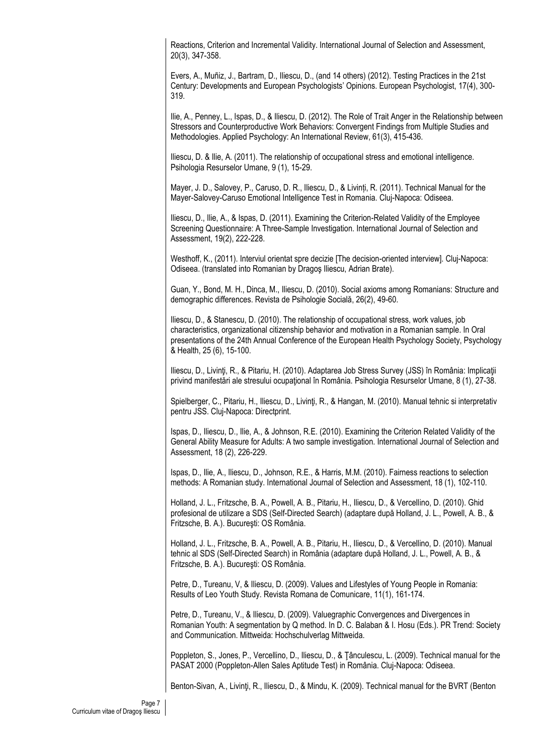Reactions, Criterion and Incremental Validity. International Journal of Selection and Assessment, 20(3), 347-358.

Evers, A., Muñiz, J., Bartram, D., Iliescu, D., (and 14 others) (2012). Testing Practices in the 21st Century: Developments and European Psychologists' Opinions. European Psychologist, 17(4), 300- 319.

Ilie, A., Penney, L., Ispas, D., & Iliescu, D. (2012). The Role of Trait Anger in the Relationship between Stressors and Counterproductive Work Behaviors: Convergent Findings from Multiple Studies and Methodologies. Applied Psychology: An International Review, 61(3), 415-436.

Iliescu, D. & Ilie, A. (2011). The relationship of occupational stress and emotional intelligence. Psihologia Resurselor Umane, 9 (1), 15-29.

Mayer, J. D., Salovey, P., Caruso, D. R., Iliescu, D., & Livinți, R. (2011). Technical Manual for the Mayer-Salovey-Caruso Emotional Intelligence Test in Romania. Cluj-Napoca: Odiseea.

Iliescu, D., Ilie, A., & Ispas, D. (2011). Examining the Criterion-Related Validity of the Employee Screening Questionnaire: A Three-Sample Investigation. International Journal of Selection and Assessment, 19(2), 222-228.

Westhoff, K., (2011). Interviul orientat spre decizie [The decision-oriented interview]. Cluj-Napoca: Odiseea. (translated into Romanian by Dragoş Iliescu, Adrian Brate).

Guan, Y., Bond, M. H., Dinca, M., Iliescu, D. (2010). Social axioms among Romanians: Structure and demographic differences. Revista de Psihologie Socială, 26(2), 49-60.

Iliescu, D., & Stanescu, D. (2010). The relationship of occupational stress, work values, job characteristics, organizational citizenship behavior and motivation in a Romanian sample. In Oral presentations of the 24th Annual Conference of the European Health Psychology Society, Psychology & Health, 25 (6), 15-100.

Iliescu, D., Livinti, R., & Pitariu, H. (2010). Adaptarea Job Stress Survey (JSS) în România: Implicații privind manifestări ale stresului ocupațional în România. Psihologia Resurselor Umane, 8 (1), 27-38.

Spielberger, C., Pitariu, H., Iliescu, D., Livinţi, R., & Hangan, M. (2010). Manual tehnic si interpretativ pentru JSS. Cluj-Napoca: Directprint.

Ispas, D., Iliescu, D., Ilie, A., & Johnson, R.E. (2010). Examining the Criterion Related Validity of the General Ability Measure for Adults: A two sample investigation. International Journal of Selection and Assessment, 18 (2), 226-229.

Ispas, D., Ilie, A., Iliescu, D., Johnson, R.E., & Harris, M.M. (2010). Fairness reactions to selection methods: A Romanian study. International Journal of Selection and Assessment, 18 (1), 102-110.

Holland, J. L., Fritzsche, B. A., Powell, A. B., Pitariu, H., Iliescu, D., & Vercellino, D. (2010). Ghid profesional de utilizare a SDS (Self-Directed Search) (adaptare după Holland, J. L., Powell, A. B., & Fritzsche, B. A.). Bucureşti: OS România.

Holland, J. L., Fritzsche, B. A., Powell, A. B., Pitariu, H., Iliescu, D., & Vercellino, D. (2010). Manual tehnic al SDS (Self-Directed Search) in România (adaptare după Holland, J. L., Powell, A. B., & Fritzsche, B. A.). Bucureşti: OS România.

Petre, D., Tureanu, V, & Iliescu, D. (2009). Values and Lifestyles of Young People in Romania: Results of Leo Youth Study. Revista Romana de Comunicare, 11(1), 161-174.

Petre, D., Tureanu, V., & Iliescu, D. (2009). Valuegraphic Convergences and Divergences in Romanian Youth: A segmentation by Q method. In D. C. Balaban & I. Hosu (Eds.). PR Trend: Society and Communication. Mittweida: Hochschulverlag Mittweida.

Poppleton, S., Jones, P., Vercellino, D., Iliescu, D., & Ţânculescu, L. (2009). Technical manual for the PASAT 2000 (Poppleton-Allen Sales Aptitude Test) in România. Cluj-Napoca: Odiseea.

Benton-Sivan, A., Livinţi, R., Iliescu, D., & Mindu, K. (2009). Technical manual for the BVRT (Benton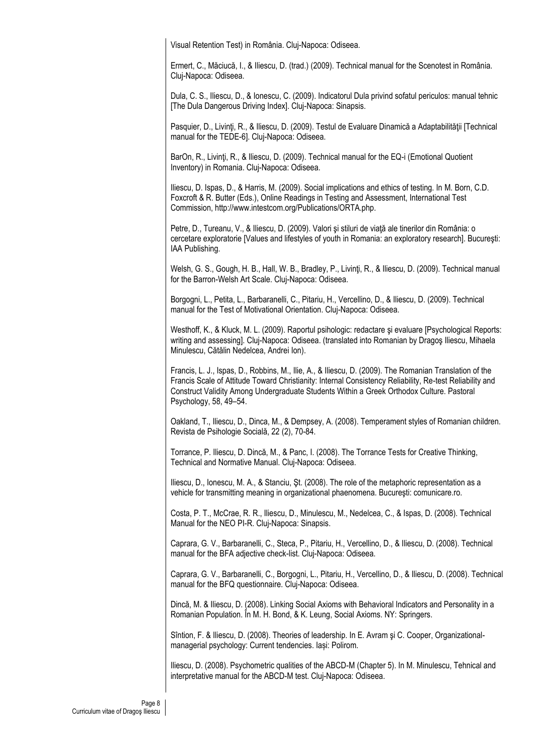Visual Retention Test) in România. Cluj-Napoca: Odiseea.

Ermert, C., Măciucă, I., & Iliescu, D. (trad.) (2009). Technical manual for the Scenotest in România. Cluj-Napoca: Odiseea.

Dula, C. S., Iliescu, D., & Ionescu, C. (2009). Indicatorul Dula privind sofatul periculos: manual tehnic [The Dula Dangerous Driving Index]. Cluj-Napoca: Sinapsis.

Pasquier, D., Livinți, R., & Iliescu, D. (2009). Testul de Evaluare Dinamică a Adaptabilității [Technical manual for the TEDE-6]. Cluj-Napoca: Odiseea.

BarOn, R., Livinti, R., & Iliescu, D. (2009). Technical manual for the EQ-i (Emotional Quotient Inventory) in Romania. Cluj-Napoca: Odiseea.

Iliescu, D. Ispas, D., & Harris, M. (2009). Social implications and ethics of testing. In M. Born, C.D. Foxcroft & R. Butter (Eds.), Online Readings in Testing and Assessment, International Test Commission, http://www.intestcom.org/Publications/ORTA.php.

Petre, D., Tureanu, V., & Iliescu, D. (2009). Valori şi stiluri de viaţă ale tinerilor din România: o cercetare exploratorie [Values and lifestyles of youth in Romania: an exploratory research]. Bucureşti: IAA Publishing.

Welsh, G. S., Gough, H. B., Hall, W. B., Bradley, P., Livinti, R., & Iliescu, D. (2009). Technical manual for the Barron-Welsh Art Scale. Cluj-Napoca: Odiseea.

Borgogni, L., Petita, L., Barbaranelli, C., Pitariu, H., Vercellino, D., & Iliescu, D. (2009). Technical manual for the Test of Motivational Orientation. Cluj-Napoca: Odiseea.

Westhoff, K., & Kluck, M. L. (2009). Raportul psihologic: redactare si evaluare [Psychological Reports: writing and assessing]. Cluj-Napoca: Odiseea. (translated into Romanian by Dragoş Iliescu, Mihaela Minulescu, Cătălin Nedelcea, Andrei Ion).

Francis, L. J., Ispas, D., Robbins, M., Ilie, A., & Iliescu, D. (2009). The Romanian Translation of the Francis Scale of Attitude Toward Christianity: Internal Consistency Reliability, Re-test Reliability and Construct Validity Among Undergraduate Students Within a Greek Orthodox Culture. Pastoral Psychology, 58, 49–54.

Oakland, T., Iliescu, D., Dinca, M., & Dempsey, A. (2008). Temperament styles of Romanian children. Revista de Psihologie Socială, 22 (2), 70-84.

Torrance, P. Iliescu, D. Dincă, M., & Panc, I. (2008). The Torrance Tests for Creative Thinking, Technical and Normative Manual. Cluj-Napoca: Odiseea.

Iliescu, D., Ionescu, M. A., & Stanciu, Şt. (2008). The role of the metaphoric representation as a vehicle for transmitting meaning in organizational phaenomena. Bucureşti: comunicare.ro.

Costa, P. T., McCrae, R. R., Iliescu, D., Minulescu, M., Nedelcea, C., & Ispas, D. (2008). Technical Manual for the NEO PI-R. Cluj-Napoca: Sinapsis.

Caprara, G. V., Barbaranelli, C., Steca, P., Pitariu, H., Vercellino, D., & Iliescu, D. (2008). Technical manual for the BFA adjective check-list. Cluj-Napoca: Odiseea.

Caprara, G. V., Barbaranelli, C., Borgogni, L., Pitariu, H., Vercellino, D., & Iliescu, D. (2008). Technical manual for the BFQ questionnaire. Cluj-Napoca: Odiseea.

Dincă, M. & Iliescu, D. (2008). Linking Social Axioms with Behavioral Indicators and Personality in a Romanian Population. În M. H. Bond, & K. Leung, Social Axioms. NY: Springers.

Sîntion, F. & Iliescu, D. (2008). Theories of leadership. In E. Avram şi C. Cooper, Organizationalmanagerial psychology: Current tendencies. Iași: Polirom.

Iliescu, D. (2008). Psychometric qualities of the ABCD-M (Chapter 5). In M. Minulescu, Tehnical and interpretative manual for the ABCD-M test. Cluj-Napoca: Odiseea.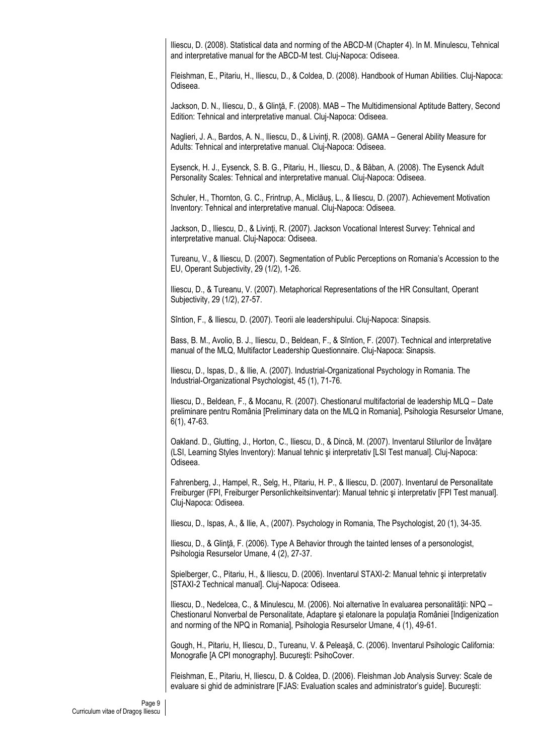Iliescu, D. (2008). Statistical data and norming of the ABCD-M (Chapter 4). In M. Minulescu, Tehnical and interpretative manual for the ABCD-M test. Cluj-Napoca: Odiseea.

Fleishman, E., Pitariu, H., Iliescu, D., & Coldea, D. (2008). Handbook of Human Abilities. Cluj-Napoca: Odiseea.

Jackson, D. N., Iliescu, D., & Glinţă, F. (2008). MAB – The Multidimensional Aptitude Battery, Second Edition: Tehnical and interpretative manual. Cluj-Napoca: Odiseea.

Naglieri, J. A., Bardos, A. N., Iliescu, D., & Livinţi, R. (2008). GAMA – General Ability Measure for Adults: Tehnical and interpretative manual. Cluj-Napoca: Odiseea.

Eysenck, H. J., Eysenck, S. B. G., Pitariu, H., Iliescu, D., & Băban, A. (2008). The Eysenck Adult Personality Scales: Tehnical and interpretative manual. Cluj-Napoca: Odiseea.

Schuler, H., Thornton, G. C., Frintrup, A., Miclăuş, L., & Iliescu, D. (2007). Achievement Motivation Inventory: Tehnical and interpretative manual. Cluj-Napoca: Odiseea.

Jackson, D., Iliescu, D., & Livinți, R. (2007). Jackson Vocational Interest Survey: Tehnical and interpretative manual. Cluj-Napoca: Odiseea.

Tureanu, V., & Iliescu, D. (2007). Segmentation of Public Perceptions on Romania's Accession to the EU, Operant Subjectivity, 29 (1/2), 1-26.

Iliescu, D., & Tureanu, V. (2007). Metaphorical Representations of the HR Consultant, Operant Subjectivity, 29 (1/2), 27-57.

Sîntion, F., & Iliescu, D. (2007). Teorii ale leadershipului. Cluj-Napoca: Sinapsis.

Bass, B. M., Avolio, B. J., Iliescu, D., Beldean, F., & Sîntion, F. (2007). Technical and interpretative manual of the MLQ, Multifactor Leadership Questionnaire. Cluj-Napoca: Sinapsis.

Iliescu, D., Ispas, D., & Ilie, A. (2007). Industrial-Organizational Psychology in Romania. The Industrial-Organizational Psychologist, 45 (1), 71-76.

Iliescu, D., Beldean, F., & Mocanu, R. (2007). Chestionarul multifactorial de leadership MLQ – Date preliminare pentru România [Preliminary data on the MLQ in Romania], Psihologia Resurselor Umane, 6(1), 47-63.

Oakland. D., Glutting, J., Horton, C., Iliescu, D., & Dincă, M. (2007). Inventarul Stilurilor de Învăţare (LSI, Learning Styles Inventory): Manual tehnic şi interpretativ [LSI Test manual]. Cluj-Napoca: Odiseea.

Fahrenberg, J., Hampel, R., Selg, H., Pitariu, H. P., & Iliescu, D. (2007). Inventarul de Personalitate Freiburger (FPI, Freiburger Personlichkeitsinventar): Manual tehnic şi interpretativ [FPI Test manual]. Cluj-Napoca: Odiseea.

Iliescu, D., Ispas, A., & Ilie, A., (2007). Psychology in Romania, The Psychologist, 20 (1), 34-35.

Iliescu, D., & Glinţă, F. (2006). Type A Behavior through the tainted lenses of a personologist, Psihologia Resurselor Umane, 4 (2), 27-37.

Spielberger, C., Pitariu, H., & Iliescu, D. (2006). Inventarul STAXI-2: Manual tehnic şi interpretativ [STAXI-2 Technical manual]. Cluj-Napoca: Odiseea.

Iliescu, D., Nedelcea, C., & Minulescu, M. (2006). Noi alternative în evaluarea personalităţii: NPQ – Chestionarul Nonverbal de Personalitate, Adaptare și etalonare la populația României [Indigenization] and norming of the NPQ in Romania], Psihologia Resurselor Umane, 4 (1), 49-61.

Gough, H., Pitariu, H, Iliescu, D., Tureanu, V. & Peleaşă, C. (2006). Inventarul Psihologic California: Monografie [A CPI monography]. Bucureşti: PsihoCover.

Fleishman, E., Pitariu, H, Iliescu, D. & Coldea, D. (2006). Fleishman Job Analysis Survey: Scale de evaluare si ghid de administrare [FJAS: Evaluation scales and administrator's guide]. Bucureşti: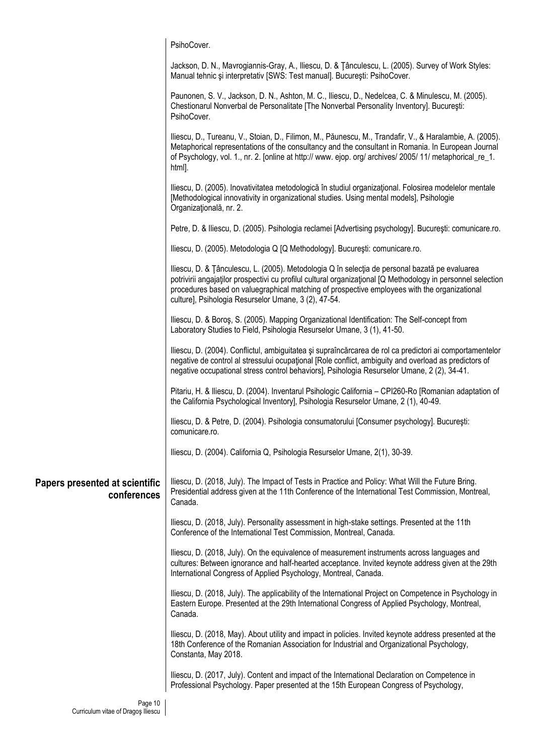|                                               | PsihoCover.                                                                                                                                                                                                                                                                                                                                                            |
|-----------------------------------------------|------------------------------------------------------------------------------------------------------------------------------------------------------------------------------------------------------------------------------------------------------------------------------------------------------------------------------------------------------------------------|
|                                               | Jackson, D. N., Mavrogiannis-Gray, A., Iliescu, D. & Tânculescu, L. (2005). Survey of Work Styles:<br>Manual tehnic și interpretativ [SWS: Test manual]. București: PsihoCover.                                                                                                                                                                                        |
|                                               | Paunonen, S. V., Jackson, D. N., Ashton, M. C., Iliescu, D., Nedelcea, C. & Minulescu, M. (2005).<br>Chestionarul Nonverbal de Personalitate [The Nonverbal Personality Inventory]. București:<br>PsihoCover.                                                                                                                                                          |
|                                               | Iliescu, D., Tureanu, V., Stoian, D., Filimon, M., Păunescu, M., Trandafir, V., & Haralambie, A. (2005).<br>Metaphorical representations of the consultancy and the consultant in Romania. In European Journal<br>of Psychology, vol. 1., nr. 2. [online at http:// www. ejop. org/ archives/ 2005/ 11/ metaphorical_re_1.<br>html].                                   |
|                                               | Iliescu, D. (2005). Inovativitatea metodologică în studiul organizațional. Folosirea modelelor mentale<br>[Methodological innovativity in organizational studies. Using mental models], Psihologie<br>Organizațională, nr. 2.                                                                                                                                          |
|                                               | Petre, D. & Iliescu, D. (2005). Psihologia reclamei [Advertising psychology]. București: comunicare.ro.                                                                                                                                                                                                                                                                |
|                                               | Iliescu, D. (2005). Metodologia Q [Q Methodology]. București: comunicare.ro.                                                                                                                                                                                                                                                                                           |
|                                               | Iliescu, D. & Tânculescu, L. (2005). Metodologia Q în selecția de personal bazată pe evaluarea<br>potrivirii angajatilor prospectivi cu profilul cultural organizational [Q Methodology in personnel selection<br>procedures based on valuegraphical matching of prospective employees with the organizational<br>culture], Psihologia Resurselor Umane, 3 (2), 47-54. |
|                                               | Iliescu, D. & Boroș, S. (2005). Mapping Organizational Identification: The Self-concept from<br>Laboratory Studies to Field, Psihologia Resurselor Umane, 3 (1), 41-50.                                                                                                                                                                                                |
|                                               | Iliescu, D. (2004). Conflictul, ambiguitatea și supraîncărcarea de rol ca predictori ai comportamentelor<br>negative de control al stressului ocupational [Role conflict, ambiguity and overload as predictors of<br>negative occupational stress control behaviors], Psihologia Resurselor Umane, 2 (2), 34-41.                                                       |
|                                               | Pitariu, H. & Iliescu, D. (2004). Inventarul Psihologic California - CPI260-Ro [Romanian adaptation of<br>the California Psychological Inventory], Psihologia Resurselor Umane, 2 (1), 40-49.                                                                                                                                                                          |
|                                               | Iliescu, D. & Petre, D. (2004). Psihologia consumatorului [Consumer psychology]. București:<br>comunicare.ro.                                                                                                                                                                                                                                                          |
|                                               | Iliescu, D. (2004). California Q, Psihologia Resurselor Umane, 2(1), 30-39.                                                                                                                                                                                                                                                                                            |
| Papers presented at scientific<br>conferences | Iliescu, D. (2018, July). The Impact of Tests in Practice and Policy: What Will the Future Bring.<br>Presidential address given at the 11th Conference of the International Test Commission, Montreal,<br>Canada.                                                                                                                                                      |
|                                               | Iliescu, D. (2018, July). Personality assessment in high-stake settings. Presented at the 11th<br>Conference of the International Test Commission, Montreal, Canada.                                                                                                                                                                                                   |
|                                               | Iliescu, D. (2018, July). On the equivalence of measurement instruments across languages and<br>cultures: Between ignorance and half-hearted acceptance. Invited keynote address given at the 29th<br>International Congress of Applied Psychology, Montreal, Canada.                                                                                                  |
|                                               | Iliescu, D. (2018, July). The applicability of the International Project on Competence in Psychology in<br>Eastern Europe. Presented at the 29th International Congress of Applied Psychology, Montreal,<br>Canada.                                                                                                                                                    |
|                                               | Iliescu, D. (2018, May). About utility and impact in policies. Invited keynote address presented at the<br>18th Conference of the Romanian Association for Industrial and Organizational Psychology,<br>Constanta, May 2018.                                                                                                                                           |
|                                               | Iliescu, D. (2017, July). Content and impact of the International Declaration on Competence in<br>Professional Psychology. Paper presented at the 15th European Congress of Psychology,                                                                                                                                                                                |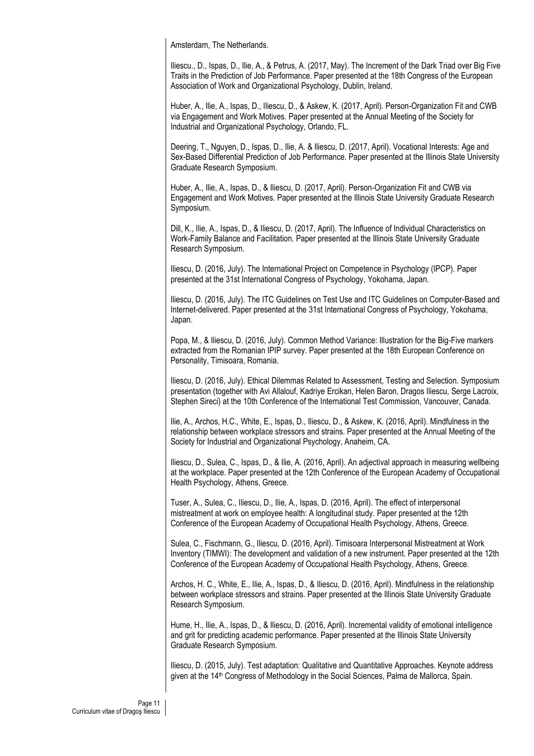Amsterdam, The Netherlands.

Iliescu., D., Ispas, D., Ilie, A., & Petrus, A. (2017, May). The Increment of the Dark Triad over Big Five Traits in the Prediction of Job Performance. Paper presented at the 18th Congress of the European Association of Work and Organizational Psychology, Dublin, Ireland.

Huber, A., Ilie, A., Ispas, D., Iliescu, D., & Askew, K. (2017, April). Person-Organization Fit and CWB via Engagement and Work Motives. Paper presented at the Annual Meeting of the Society for Industrial and Organizational Psychology, Orlando, FL.

Deering, T., Nguyen, D., Ispas, D., Ilie, A. & Iliescu, D. (2017, April). Vocational Interests: Age and Sex-Based Differential Prediction of Job Performance. Paper presented at the Illinois State University Graduate Research Symposium.

Huber, A., Ilie, A., Ispas, D., & Iliescu, D. (2017, April). Person-Organization Fit and CWB via Engagement and Work Motives. Paper presented at the Illinois State University Graduate Research Symposium.

Dill, K., Ilie, A., Ispas, D., & Iliescu, D. (2017, April). The Influence of Individual Characteristics on Work-Family Balance and Facilitation. Paper presented at the Illinois State University Graduate Research Symposium.

Iliescu, D. (2016, July). The International Project on Competence in Psychology (IPCP). Paper presented at the 31st International Congress of Psychology, Yokohama, Japan.

Iliescu, D. (2016, July). The ITC Guidelines on Test Use and ITC Guidelines on Computer-Based and Internet-delivered. Paper presented at the 31st International Congress of Psychology, Yokohama, Japan.

Popa, M., & Iliescu, D. (2016, July). Common Method Variance: Illustration for the Big-Five markers extracted from the Romanian IPIP survey. Paper presented at the 18th European Conference on Personality, Timisoara, Romania.

Iliescu, D. (2016, July). Ethical Dilemmas Related to Assessment, Testing and Selection. Symposium presentation (together with Avi Allalouf, Kadriye Ercikan, Helen Baron, Dragos Iliescu, Serge Lacroix, Stephen Sireci) at the 10th Conference of the International Test Commission, Vancouver, Canada.

Ilie, A., Archos, H.C., White, E., Ispas, D., Iliescu, D., & Askew, K. (2016, April). Mindfulness in the relationship between workplace stressors and strains. Paper presented at the Annual Meeting of the Society for Industrial and Organizational Psychology, Anaheim, CA.

Iliescu, D., Sulea, C., Ispas, D., & Ilie, A. (2016, April). An adjectival approach in measuring wellbeing at the workplace. Paper presented at the 12th Conference of the European Academy of Occupational Health Psychology, Athens, Greece.

Tuser, A., Sulea, C., Iliescu, D., Ilie, A., Ispas, D. (2016, April). The effect of interpersonal mistreatment at work on employee health: A longitudinal study. Paper presented at the 12th Conference of the European Academy of Occupational Health Psychology, Athens, Greece.

Sulea, C., Fischmann, G., Iliescu, D. (2016, April). Timisoara Interpersonal Mistreatment at Work Inventory (TIMWI): The development and validation of a new instrument. Paper presented at the 12th Conference of the European Academy of Occupational Health Psychology, Athens, Greece.

Archos, H. C., White, E., Ilie, A., Ispas, D., & Iliescu, D. (2016, April). Mindfulness in the relationship between workplace stressors and strains. Paper presented at the Illinois State University Graduate Research Symposium.

Hume, H., Ilie, A., Ispas, D., & Iliescu, D. (2016, April). Incremental validity of emotional intelligence and grit for predicting academic performance. Paper presented at the Illinois State University Graduate Research Symposium.

Iliescu, D. (2015, July). Test adaptation: Qualitative and Quantitative Approaches. Keynote address given at the 14<sup>th</sup> Congress of Methodology in the Social Sciences, Palma de Mallorca, Spain.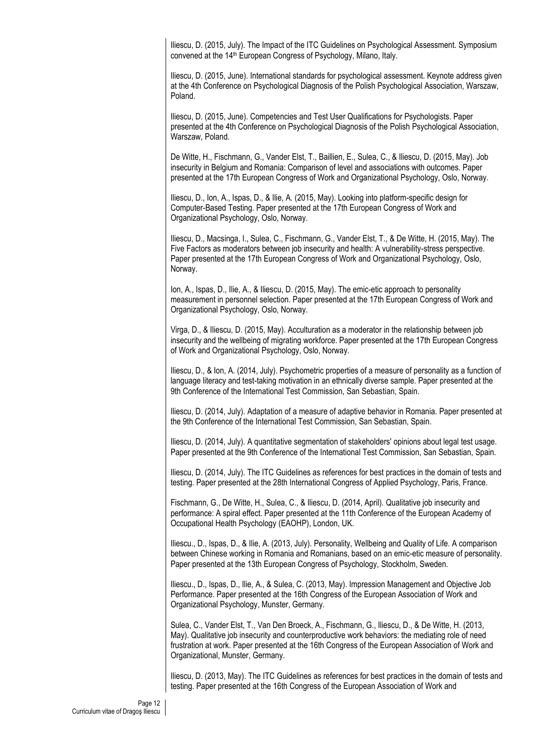Iliescu, D. (2015, July). The Impact of the ITC Guidelines on Psychological Assessment. Symposium convened at the 14<sup>th</sup> European Congress of Psychology, Milano, Italy.

Iliescu, D. (2015, June). International standards for psychological assessment. Keynote address given at the 4th Conference on Psychological Diagnosis of the Polish Psychological Association, Warszaw, Poland.

Iliescu, D. (2015, June). Competencies and Test User Qualifications for Psychologists. Paper presented at the 4th Conference on Psychological Diagnosis of the Polish Psychological Association, Warszaw, Poland.

De Witte, H., Fischmann, G., Vander Elst, T., Baillien, E., Sulea, C., & Iliescu, D. (2015, May). Job insecurity in Belgium and Romania: Comparison of level and associations with outcomes. Paper presented at the 17th European Congress of Work and Organizational Psychology, Oslo, Norway.

Iliescu, D., Ion, A., Ispas, D., & Ilie, A. (2015, May). Looking into platform-specific design for Computer-Based Testing. Paper presented at the 17th European Congress of Work and Organizational Psychology, Oslo, Norway.

Iliescu, D., Macsinga, I., Sulea, C., Fischmann, G., Vander Elst, T., & De Witte, H. (2015, May). The Five Factors as moderators between job insecurity and health: A vulnerability-stress perspective. Paper presented at the 17th European Congress of Work and Organizational Psychology, Oslo, Norway.

Ion, A., Ispas, D., Ilie, A., & Iliescu, D. (2015, May). The emic-etic approach to personality measurement in personnel selection. Paper presented at the 17th European Congress of Work and Organizational Psychology, Oslo, Norway.

Virga, D., & Iliescu, D. (2015, May). Acculturation as a moderator in the relationship between job insecurity and the wellbeing of migrating workforce. Paper presented at the 17th European Congress of Work and Organizational Psychology, Oslo, Norway.

Iliescu, D., & Ion, A. (2014, July). Psychometric properties of a measure of personality as a function of language literacy and test-taking motivation in an ethnically diverse sample. Paper presented at the 9th Conference of the International Test Commission, San Sebastian, Spain.

Iliescu, D. (2014, July). Adaptation of a measure of adaptive behavior in Romania. Paper presented at the 9th Conference of the International Test Commission, San Sebastian, Spain.

Iliescu, D. (2014, July). A quantitative segmentation of stakeholders' opinions about legal test usage. Paper presented at the 9th Conference of the International Test Commission, San Sebastian, Spain.

Iliescu, D. (2014, July). The ITC Guidelines as references for best practices in the domain of tests and testing. Paper presented at the 28th International Congress of Applied Psychology, Paris, France.

Fischmann, G., De Witte, H., Sulea, C., & Iliescu, D. (2014, April). Qualitative job insecurity and performance: A spiral effect. Paper presented at the 11th Conference of the European Academy of Occupational Health Psychology (EAOHP), London, UK.

Iliescu., D., Ispas, D., & Ilie, A. (2013, July). Personality, Wellbeing and Quality of Life. A comparison between Chinese working in Romania and Romanians, based on an emic-etic measure of personality. Paper presented at the 13th European Congress of Psychology, Stockholm, Sweden.

Iliescu., D., Ispas, D., Ilie, A., & Sulea, C. (2013, May). Impression Management and Objective Job Performance. Paper presented at the 16th Congress of the European Association of Work and Organizational Psychology, Munster, Germany.

Sulea, C., Vander Elst, T., Van Den Broeck, A., Fischmann, G., Iliescu, D., & De Witte, H. (2013, May). Qualitative job insecurity and counterproductive work behaviors: the mediating role of need frustration at work. Paper presented at the 16th Congress of the European Association of Work and Organizational, Munster, Germany.

Iliescu, D. (2013, May). The ITC Guidelines as references for best practices in the domain of tests and testing. Paper presented at the 16th Congress of the European Association of Work and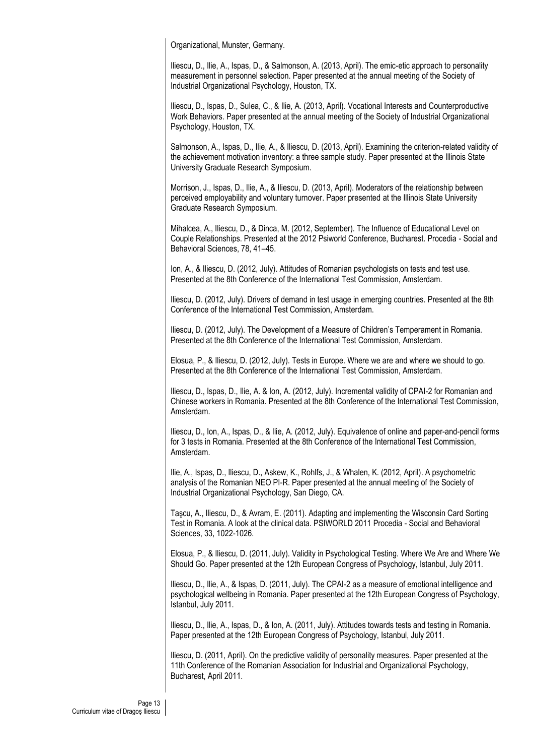Organizational, Munster, Germany.

Iliescu, D., Ilie, A., Ispas, D., & Salmonson, A. (2013, April). The emic-etic approach to personality measurement in personnel selection. Paper presented at the annual meeting of the Society of Industrial Organizational Psychology, Houston, TX.

Iliescu, D., Ispas, D., Sulea, C., & Ilie, A. (2013, April). Vocational Interests and Counterproductive Work Behaviors. Paper presented at the annual meeting of the Society of Industrial Organizational Psychology, Houston, TX.

Salmonson, A., Ispas, D., Ilie, A., & Iliescu, D. (2013, April). Examining the criterion-related validity of the achievement motivation inventory: a three sample study. Paper presented at the Illinois State University Graduate Research Symposium.

Morrison, J., Ispas, D., Ilie, A., & Iliescu, D. (2013, April). Moderators of the relationship between perceived employability and voluntary turnover. Paper presented at the Illinois State University Graduate Research Symposium.

Mihalcea, A., Iliescu, D., & Dinca, M. (2012, September). The Influence of Educational Level on Couple Relationships. Presented at the 2012 Psiworld Conference, Bucharest. Procedia - Social and Behavioral Sciences, 78, 41–45.

Ion, A., & Iliescu, D. (2012, July). Attitudes of Romanian psychologists on tests and test use. Presented at the 8th Conference of the International Test Commission, Amsterdam.

Iliescu, D. (2012, July). Drivers of demand in test usage in emerging countries. Presented at the 8th Conference of the International Test Commission, Amsterdam.

Iliescu, D. (2012, July). The Development of a Measure of Children's Temperament in Romania. Presented at the 8th Conference of the International Test Commission, Amsterdam.

Elosua, P., & Iliescu, D. (2012, July). Tests in Europe. Where we are and where we should to go. Presented at the 8th Conference of the International Test Commission, Amsterdam.

Iliescu, D., Ispas, D., Ilie, A. & Ion, A. (2012, July). Incremental validity of CPAI-2 for Romanian and Chinese workers in Romania. Presented at the 8th Conference of the International Test Commission, Amsterdam.

Iliescu, D., Ion, A., Ispas, D., & Ilie, A. (2012, July). Equivalence of online and paper-and-pencil forms for 3 tests in Romania. Presented at the 8th Conference of the International Test Commission, Amsterdam.

Ilie, A., Ispas, D., Iliescu, D., Askew, K., Rohlfs, J., & Whalen, K. (2012, April). A psychometric analysis of the Romanian NEO PI-R. Paper presented at the annual meeting of the Society of Industrial Organizational Psychology, San Diego, CA.

Taşcu, A., Iliescu, D., & Avram, E. (2011). Adapting and implementing the Wisconsin Card Sorting Test in Romania. A look at the clinical data. PSIWORLD 2011 Procedia - Social and Behavioral Sciences, 33, 1022-1026.

Elosua, P., & Iliescu, D. (2011, July). Validity in Psychological Testing. Where We Are and Where We Should Go. Paper presented at the 12th European Congress of Psychology, Istanbul, July 2011.

Iliescu, D., Ilie, A., & Ispas, D. (2011, July). The CPAI-2 as a measure of emotional intelligence and psychological wellbeing in Romania. Paper presented at the 12th European Congress of Psychology, Istanbul, July 2011.

Iliescu, D., Ilie, A., Ispas, D., & Ion, A. (2011, July). Attitudes towards tests and testing in Romania. Paper presented at the 12th European Congress of Psychology, Istanbul, July 2011.

Iliescu, D. (2011, April). On the predictive validity of personality measures. Paper presented at the 11th Conference of the Romanian Association for Industrial and Organizational Psychology, Bucharest, April 2011.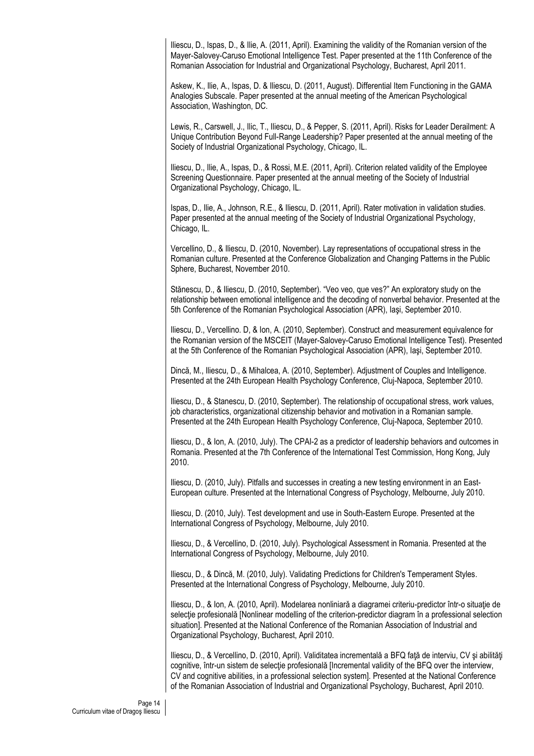Iliescu, D., Ispas, D., & Ilie, A. (2011, April). Examining the validity of the Romanian version of the Mayer-Salovey-Caruso Emotional Intelligence Test. Paper presented at the 11th Conference of the Romanian Association for Industrial and Organizational Psychology, Bucharest, April 2011.

Askew, K., Ilie, A., Ispas, D. & Iliescu, D. (2011, August). Differential Item Functioning in the GAMA Analogies Subscale. Paper presented at the annual meeting of the American Psychological Association, Washington, DC.

Lewis, R., Carswell, J., Ilic, T., Iliescu, D., & Pepper, S. (2011, April). Risks for Leader Derailment: A Unique Contribution Beyond Full-Range Leadership? Paper presented at the annual meeting of the Society of Industrial Organizational Psychology, Chicago, IL.

Iliescu, D., Ilie, A., Ispas, D., & Rossi, M.E. (2011, April). Criterion related validity of the Employee Screening Questionnaire. Paper presented at the annual meeting of the Society of Industrial Organizational Psychology, Chicago, IL.

Ispas, D., Ilie, A., Johnson, R.E., & Iliescu, D. (2011, April). Rater motivation in validation studies. Paper presented at the annual meeting of the Society of Industrial Organizational Psychology, Chicago, IL.

Vercellino, D., & Iliescu, D. (2010, November). Lay representations of occupational stress in the Romanian culture. Presented at the Conference Globalization and Changing Patterns in the Public Sphere, Bucharest, November 2010.

Stănescu, D., & Iliescu, D. (2010, September). "Veo veo, que ves?" An exploratory study on the relationship between emotional intelligence and the decoding of nonverbal behavior. Presented at the 5th Conference of the Romanian Psychological Association (APR), Iaşi, September 2010.

Iliescu, D., Vercellino. D, & Ion, A. (2010, September). Construct and measurement equivalence for the Romanian version of the MSCEIT (Mayer-Salovey-Caruso Emotional Intelligence Test). Presented at the 5th Conference of the Romanian Psychological Association (APR), Iaşi, September 2010.

Dincă, M., Iliescu, D., & Mihalcea, A. (2010, September). Adjustment of Couples and Intelligence. Presented at the 24th European Health Psychology Conference, Cluj-Napoca, September 2010.

Iliescu, D., & Stanescu, D. (2010, September). The relationship of occupational stress, work values, job characteristics, organizational citizenship behavior and motivation in a Romanian sample. Presented at the 24th European Health Psychology Conference, Cluj-Napoca, September 2010.

Iliescu, D., & Ion, A. (2010, July). The CPAI-2 as a predictor of leadership behaviors and outcomes in Romania. Presented at the 7th Conference of the International Test Commission, Hong Kong, July 2010.

Iliescu, D. (2010, July). Pitfalls and successes in creating a new testing environment in an East-European culture. Presented at the International Congress of Psychology, Melbourne, July 2010.

Iliescu, D. (2010, July). Test development and use in South-Eastern Europe. Presented at the International Congress of Psychology, Melbourne, July 2010.

Iliescu, D., & Vercellino, D. (2010, July). Psychological Assessment in Romania. Presented at the International Congress of Psychology, Melbourne, July 2010.

Iliescu, D., & Dincă, M. (2010, July). Validating Predictions for Children's Temperament Styles. Presented at the International Congress of Psychology, Melbourne, July 2010.

Iliescu, D., & Ion, A. (2010, April). Modelarea nonliniară a diagramei criteriu-predictor într-o situaţie de selectie profesională [Nonlinear modelling of the criterion-predictor diagram în a professional selection situation]. Presented at the National Conference of the Romanian Association of Industrial and Organizational Psychology, Bucharest, April 2010.

Iliescu, D., & Vercellino, D. (2010, April). Validitatea incrementală a BFQ fată de interviu, CV și abilități cognitive, într-un sistem de selectie profesională [Incremental validity of the BFQ over the interview, CV and cognitive abilities, in a professional selection system]. Presented at the National Conference of the Romanian Association of Industrial and Organizational Psychology, Bucharest, April 2010.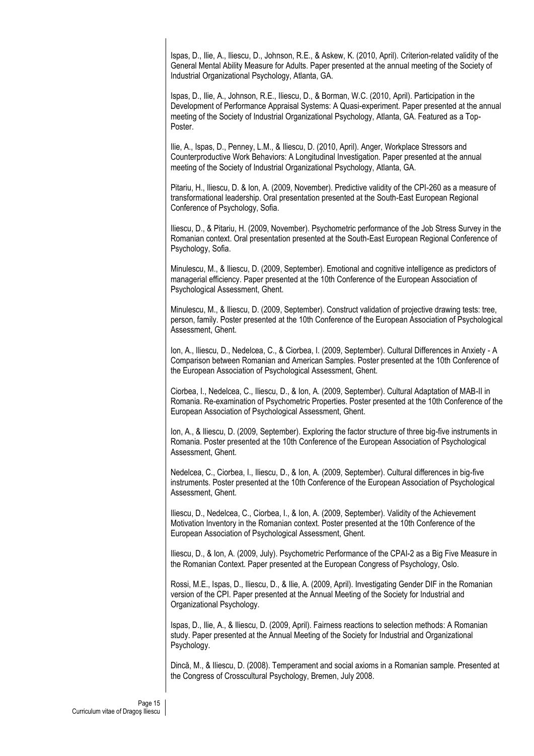Ispas, D., Ilie, A., Iliescu, D., Johnson, R.E., & Askew, K. (2010, April). Criterion-related validity of the General Mental Ability Measure for Adults. Paper presented at the annual meeting of the Society of Industrial Organizational Psychology, Atlanta, GA.

Ispas, D., Ilie, A., Johnson, R.E., Iliescu, D., & Borman, W.C. (2010, April). Participation in the Development of Performance Appraisal Systems: A Quasi-experiment. Paper presented at the annual meeting of the Society of Industrial Organizational Psychology, Atlanta, GA. Featured as a Top-Poster.

Ilie, A., Ispas, D., Penney, L.M., & Iliescu, D. (2010, April). Anger, Workplace Stressors and Counterproductive Work Behaviors: A Longitudinal Investigation. Paper presented at the annual meeting of the Society of Industrial Organizational Psychology, Atlanta, GA.

Pitariu, H., Iliescu, D. & Ion, A. (2009, November). Predictive validity of the CPI-260 as a measure of transformational leadership. Oral presentation presented at the South-East European Regional Conference of Psychology, Sofia.

Iliescu, D., & Pitariu, H. (2009, November). Psychometric performance of the Job Stress Survey in the Romanian context. Oral presentation presented at the South-East European Regional Conference of Psychology, Sofia.

Minulescu, M., & Iliescu, D. (2009, September). Emotional and cognitive intelligence as predictors of managerial efficiency. Paper presented at the 10th Conference of the European Association of Psychological Assessment, Ghent.

Minulescu, M., & Iliescu, D. (2009, September). Construct validation of projective drawing tests: tree, person, family. Poster presented at the 10th Conference of the European Association of Psychological Assessment, Ghent.

Ion, A., Iliescu, D., Nedelcea, C., & Ciorbea, I. (2009, September). Cultural Differences in Anxiety - A Comparison between Romanian and American Samples. Poster presented at the 10th Conference of the European Association of Psychological Assessment, Ghent.

Ciorbea, I., Nedelcea, C., Iliescu, D., & Ion, A. (2009, September). Cultural Adaptation of MAB-II in Romania. Re-examination of Psychometric Properties. Poster presented at the 10th Conference of the European Association of Psychological Assessment, Ghent.

Ion, A., & Iliescu, D. (2009, September). Exploring the factor structure of three big-five instruments in Romania. Poster presented at the 10th Conference of the European Association of Psychological Assessment, Ghent.

Nedelcea, C., Ciorbea, I., Iliescu, D., & Ion, A. (2009, September). Cultural differences in big-five instruments. Poster presented at the 10th Conference of the European Association of Psychological Assessment, Ghent.

Iliescu, D., Nedelcea, C., Ciorbea, I., & Ion, A. (2009, September). Validity of the Achievement Motivation Inventory in the Romanian context. Poster presented at the 10th Conference of the European Association of Psychological Assessment, Ghent.

Iliescu, D., & Ion, A. (2009, July). Psychometric Performance of the CPAI-2 as a Big Five Measure in the Romanian Context. Paper presented at the European Congress of Psychology, Oslo.

Rossi, M.E., Ispas, D., Iliescu, D., & Ilie, A. (2009, April). Investigating Gender DIF in the Romanian version of the CPI. Paper presented at the Annual Meeting of the Society for Industrial and Organizational Psychology.

Ispas, D., Ilie, A., & Iliescu, D. (2009, April). Fairness reactions to selection methods: A Romanian study. Paper presented at the Annual Meeting of the Society for Industrial and Organizational Psychology.

Dincă, M., & Iliescu, D. (2008). Temperament and social axioms in a Romanian sample. Presented at the Congress of Crosscultural Psychology, Bremen, July 2008.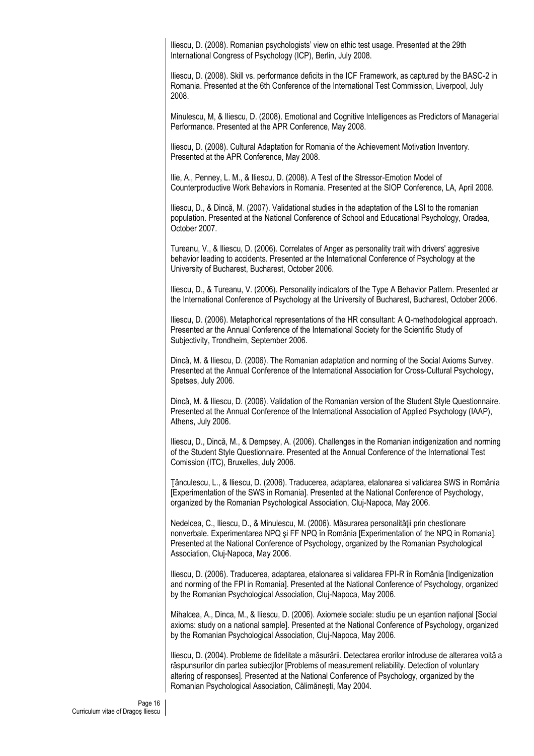Iliescu, D. (2008). Romanian psychologists' view on ethic test usage. Presented at the 29th International Congress of Psychology (ICP), Berlin, July 2008.

Iliescu, D. (2008). Skill vs. performance deficits in the ICF Framework, as captured by the BASC-2 in Romania. Presented at the 6th Conference of the International Test Commission, Liverpool, July 2008.

Minulescu, M, & Iliescu, D. (2008). Emotional and Cognitive Intelligences as Predictors of Managerial Performance. Presented at the APR Conference, May 2008.

Iliescu, D. (2008). Cultural Adaptation for Romania of the Achievement Motivation Inventory. Presented at the APR Conference, May 2008.

Ilie, A., Penney, L. M., & Iliescu, D. (2008). A Test of the Stressor-Emotion Model of Counterproductive Work Behaviors in Romania. Presented at the SIOP Conference, LA, April 2008.

Iliescu, D., & Dincă, M. (2007). Validational studies in the adaptation of the LSI to the romanian population. Presented at the National Conference of School and Educational Psychology, Oradea, October 2007.

Tureanu, V., & Iliescu, D. (2006). Correlates of Anger as personality trait with drivers' aggresive behavior leading to accidents. Presented ar the International Conference of Psychology at the University of Bucharest, Bucharest, October 2006.

Iliescu, D., & Tureanu, V. (2006). Personality indicators of the Type A Behavior Pattern. Presented ar the International Conference of Psychology at the University of Bucharest, Bucharest, October 2006.

Iliescu, D. (2006). Metaphorical representations of the HR consultant: A Q-methodological approach. Presented ar the Annual Conference of the International Society for the Scientific Study of Subjectivity, Trondheim, September 2006.

Dincă, M. & Iliescu, D. (2006). The Romanian adaptation and norming of the Social Axioms Survey. Presented at the Annual Conference of the International Association for Cross-Cultural Psychology, Spetses, July 2006.

Dincă, M. & Iliescu, D. (2006). Validation of the Romanian version of the Student Style Questionnaire. Presented at the Annual Conference of the International Association of Applied Psychology (IAAP), Athens, July 2006.

Iliescu, D., Dincă, M., & Dempsey, A. (2006). Challenges in the Romanian indigenization and norming of the Student Style Questionnaire. Presented at the Annual Conference of the International Test Comission (ITC), Bruxelles, July 2006.

Ţânculescu, L., & Iliescu, D. (2006). Traducerea, adaptarea, etalonarea si validarea SWS in România [Experimentation of the SWS in Romania]. Presented at the National Conference of Psychology, organized by the Romanian Psychological Association, Cluj-Napoca, May 2006.

Nedelcea, C., Iliescu, D., & Minulescu, M. (2006). Măsurarea personalităţii prin chestionare nonverbale. Experimentarea NPQ şi FF NPQ în România [Experimentation of the NPQ in Romania]. Presented at the National Conference of Psychology, organized by the Romanian Psychological Association, Cluj-Napoca, May 2006.

Iliescu, D. (2006). Traducerea, adaptarea, etalonarea si validarea FPI-R în România [Indigenization and norming of the FPI in Romania]. Presented at the National Conference of Psychology, organized by the Romanian Psychological Association, Cluj-Napoca, May 2006.

Mihalcea, A., Dinca, M., & Iliescu, D. (2006). Axiomele sociale: studiu pe un eşantion naţional [Social axioms: study on a national sample]. Presented at the National Conference of Psychology, organized by the Romanian Psychological Association, Cluj-Napoca, May 2006.

Iliescu, D. (2004). Probleme de fidelitate a măsurării. Detectarea erorilor introduse de alterarea voită a răspunsurilor din partea subiectilor [Problems of measurement reliability. Detection of voluntary altering of responses]. Presented at the National Conference of Psychology, organized by the Romanian Psychological Association, Călimăneşti, May 2004.